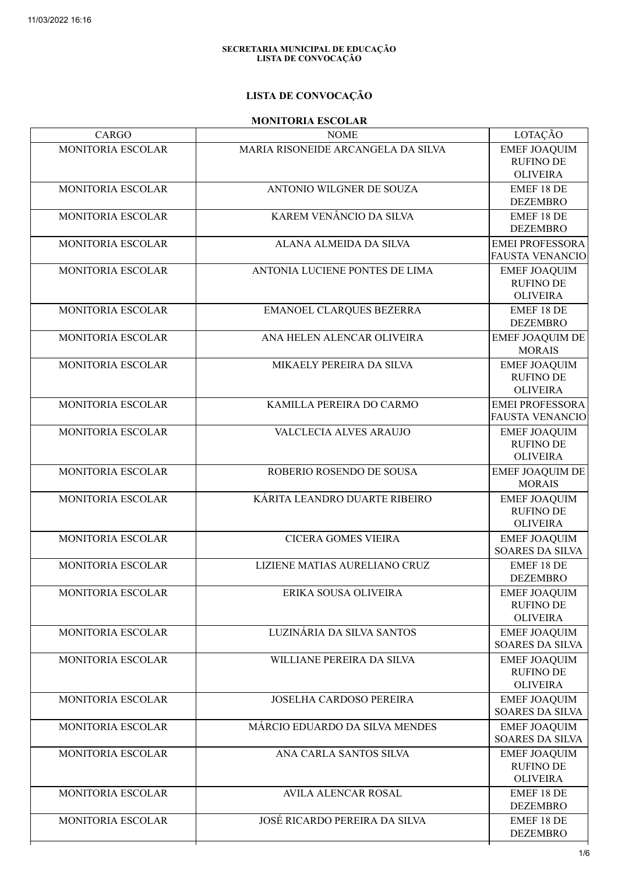#### SECRETARIA MUNICIPAL DE EDUCAÇÃO LISTA DE CONVOCAÇÃO

## LISTA DE CONVOCAÇÃO

#### MONITORIA ESCOLAR

| CARGO                    | <b>NOME</b>                          | LOTAÇÃO                                                    |
|--------------------------|--------------------------------------|------------------------------------------------------------|
| MONITORIA ESCOLAR        | MARIA RISONEIDE ARCANGELA DA SILVA   | <b>EMEF JOAQUIM</b><br><b>RUFINO DE</b><br><b>OLIVEIRA</b> |
| MONITORIA ESCOLAR        | ANTONIO WILGNER DE SOUZA             | <b>EMEF 18 DE</b><br><b>DEZEMBRO</b>                       |
| MONITORIA ESCOLAR        | KAREM VENÂNCIO DA SILVA              | EMEF 18 DE<br><b>DEZEMBRO</b>                              |
| MONITORIA ESCOLAR        | ALANA ALMEIDA DA SILVA               | <b>EMEI PROFESSORA</b><br>FAUSTA VENANCIO                  |
| MONITORIA ESCOLAR        | ANTONIA LUCIENE PONTES DE LIMA       | <b>EMEF JOAQUIM</b><br><b>RUFINO DE</b><br><b>OLIVEIRA</b> |
| MONITORIA ESCOLAR        | EMANOEL CLARQUES BEZERRA             | <b>EMEF 18 DE</b><br><b>DEZEMBRO</b>                       |
| MONITORIA ESCOLAR        | ANA HELEN ALENCAR OLIVEIRA           | <b>EMEF JOAQUIM DE</b><br><b>MORAIS</b>                    |
| MONITORIA ESCOLAR        | MIKAELY PEREIRA DA SILVA             | <b>EMEF JOAQUIM</b><br><b>RUFINO DE</b><br><b>OLIVEIRA</b> |
| MONITORIA ESCOLAR        | KAMILLA PEREIRA DO CARMO             | <b>EMEI PROFESSORA</b><br><b>FAUSTA VENANCIO</b>           |
| MONITORIA ESCOLAR        | VALCLECIA ALVES ARAUJO               | <b>EMEF JOAQUIM</b><br><b>RUFINO DE</b><br><b>OLIVEIRA</b> |
| MONITORIA ESCOLAR        | ROBERIO ROSENDO DE SOUSA             | <b>EMEF JOAQUIM DE</b><br><b>MORAIS</b>                    |
| MONITORIA ESCOLAR        | KÁRITA LEANDRO DUARTE RIBEIRO        | <b>EMEF JOAQUIM</b><br><b>RUFINO DE</b><br><b>OLIVEIRA</b> |
| MONITORIA ESCOLAR        | <b>CICERA GOMES VIEIRA</b>           | <b>EMEF JOAQUIM</b><br><b>SOARES DA SILVA</b>              |
| MONITORIA ESCOLAR        | LIZIENE MATIAS AURELIANO CRUZ        | EMEF 18 DE<br><b>DEZEMBRO</b>                              |
| MONITORIA ESCOLAR        | ERIKA SOUSA OLIVEIRA                 | <b>EMEF JOAQUIM</b><br><b>RUFINO DE</b><br><b>OLIVEIRA</b> |
| MONITORIA ESCOLAR        | LUZINÁRIA DA SILVA SANTOS            | <b>EMEF JOAQUIM</b><br><b>SOARES DA SILVA</b>              |
| MONITORIA ESCOLAR        | WILLIANE PEREIRA DA SILVA            | <b>EMEF JOAQUIM</b><br><b>RUFINO DE</b><br><b>OLIVEIRA</b> |
| MONITORIA ESCOLAR        | JOSELHA CARDOSO PEREIRA              | <b>EMEF JOAQUIM</b><br><b>SOARES DA SILVA</b>              |
| <b>MONITORIA ESCOLAR</b> | MÁRCIO EDUARDO DA SILVA MENDES       | <b>EMEF JOAQUIM</b><br><b>SOARES DA SILVA</b>              |
| MONITORIA ESCOLAR        | ANA CARLA SANTOS SILVA               | <b>EMEF JOAQUIM</b><br><b>RUFINO DE</b><br><b>OLIVEIRA</b> |
| <b>MONITORIA ESCOLAR</b> | <b>AVILA ALENCAR ROSAL</b>           | <b>EMEF 18 DE</b><br><b>DEZEMBRO</b>                       |
| MONITORIA ESCOLAR        | <b>JOSÉ RICARDO PEREIRA DA SILVA</b> | EMEF 18 DE<br><b>DEZEMBRO</b>                              |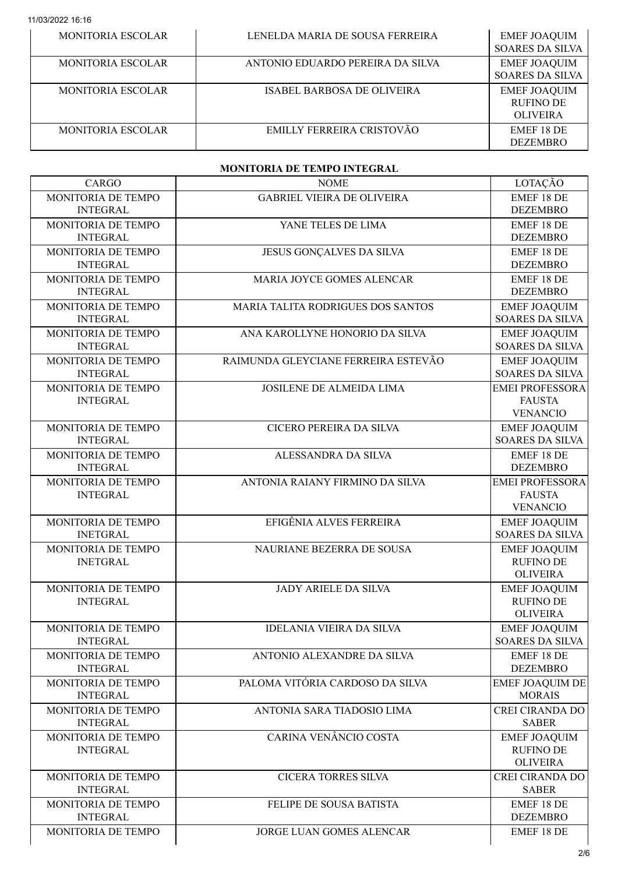| <b>MONITORIA ESCOLAR</b> | LENELDA MARIA DE SOUSA FERREIRA  | <b>EMEF JOAQUIM</b><br><b>SOARES DA SILVA</b>              |
|--------------------------|----------------------------------|------------------------------------------------------------|
| MONITORIA ESCOLAR        | ANTONIO EDUARDO PEREIRA DA SILVA | <b>EMEF JOAQUIM</b><br><b>SOARES DA SILVA</b>              |
| MONITORIA ESCOLAR        | ISABEL BARBOSA DE OLIVEIRA       | <b>EMEF JOAQUIM</b><br><b>RUFINO DE</b><br><b>OLIVEIRA</b> |
| MONITORIA ESCOLAR        | EMILLY FERREIRA CRISTOVÃO        | EMEF 18 DE<br><b>DEZEMBRO</b>                              |

#### MONITORIA DE TEMPO INTEGRAL

| <b>CARGO</b>                          | <b>NOME</b>                         | LOTAÇÃO                                                    |
|---------------------------------------|-------------------------------------|------------------------------------------------------------|
| MONITORIA DE TEMPO<br><b>INTEGRAL</b> | <b>GABRIEL VIEIRA DE OLIVEIRA</b>   | <b>EMEF 18 DE</b><br><b>DEZEMBRO</b>                       |
| MONITORIA DE TEMPO<br><b>INTEGRAL</b> | YANE TELES DE LIMA                  | <b>EMEF 18 DE</b><br><b>DEZEMBRO</b>                       |
| MONITORIA DE TEMPO<br><b>INTEGRAL</b> | JESUS GONÇALVES DA SILVA            | <b>EMEF 18 DE</b><br><b>DEZEMBRO</b>                       |
| MONITORIA DE TEMPO<br><b>INTEGRAL</b> | MARIA JOYCE GOMES ALENCAR           | EMEF 18 DE<br><b>DEZEMBRO</b>                              |
| MONITORIA DE TEMPO<br><b>INTEGRAL</b> | MARIA TALITA RODRIGUES DOS SANTOS   | <b>EMEF JOAQUIM</b><br>SOARES DA SILVA                     |
| MONITORIA DE TEMPO<br><b>INTEGRAL</b> | ANA KAROLLYNE HONORIO DA SILVA      | <b>EMEF JOAQUIM</b><br><b>SOARES DA SILVA</b>              |
| MONITORIA DE TEMPO<br><b>INTEGRAL</b> | RAIMUNDA GLEYCIANE FERREIRA ESTEVÃO | <b>EMEF JOAQUIM</b><br><b>SOARES DA SILVA</b>              |
| MONITORIA DE TEMPO<br><b>INTEGRAL</b> | JOSILENE DE ALMEIDA LIMA            | <b>EMEI PROFESSORA</b><br><b>FAUSTA</b><br><b>VENANCIO</b> |
| MONITORIA DE TEMPO<br><b>INTEGRAL</b> | CICERO PEREIRA DA SILVA             | <b>EMEF JOAQUIM</b><br><b>SOARES DA SILVA</b>              |
| MONITORIA DE TEMPO<br><b>INTEGRAL</b> | ALESSANDRA DA SILVA                 | EMEF 18 DE<br><b>DEZEMBRO</b>                              |
| MONITORIA DE TEMPO<br><b>INTEGRAL</b> | ANTONIA RAIANY FIRMINO DA SILVA     | <b>EMEI PROFESSORA</b><br><b>FAUSTA</b><br><b>VENANCIO</b> |
| MONITORIA DE TEMPO<br><b>INETGRAL</b> | EFIGÊNIA ALVES FERREIRA             | <b>EMEF JOAQUIM</b><br><b>SOARES DA SILVA</b>              |
| MONITORIA DE TEMPO<br><b>INETGRAL</b> | NAURIANE BEZERRA DE SOUSA           | <b>EMEF JOAQUIM</b><br><b>RUFINO DE</b><br><b>OLIVEIRA</b> |
| MONITORIA DE TEMPO<br><b>INTEGRAL</b> | <b>JADY ARIELE DA SILVA</b>         | <b>EMEF JOAQUIM</b><br><b>RUFINO DE</b><br><b>OLIVEIRA</b> |
| MONITORIA DE TEMPO<br><b>INTEGRAL</b> | <b>IDELANIA VIEIRA DA SILVA</b>     | <b>EMEF JOAQUIM</b><br><b>SOARES DA SILVA</b>              |
| MONITORIA DE TEMPO<br><b>INTEGRAL</b> | ANTONIO ALEXANDRE DA SILVA          | <b>EMEF 18 DE</b><br><b>DEZEMBRO</b>                       |
| MONITORIA DE TEMPO<br><b>INTEGRAL</b> | PALOMA VITÓRIA CARDOSO DA SILVA     | <b>EMEF JOAQUIM DE</b><br><b>MORAIS</b>                    |
| MONITORIA DE TEMPO<br><b>INTEGRAL</b> | ANTONIA SARA TIADOSIO LIMA          | <b>CREI CIRANDA DO</b><br><b>SABER</b>                     |
| MONITORIA DE TEMPO<br><b>INTEGRAL</b> | CARINA VENÂNCIO COSTA               | <b>EMEF JOAQUIM</b><br><b>RUFINO DE</b><br><b>OLIVEIRA</b> |
| MONITORIA DE TEMPO<br><b>INTEGRAL</b> | <b>CICERA TORRES SILVA</b>          | <b>CREI CIRANDA DO</b><br><b>SABER</b>                     |
| MONITORIA DE TEMPO<br><b>INTEGRAL</b> | FELIPE DE SOUSA BATISTA             | EMEF 18 DE<br><b>DEZEMBRO</b>                              |
| MONITORIA DE TEMPO                    | <b>JORGE LUAN GOMES ALENCAR</b>     | EMEF 18 DE                                                 |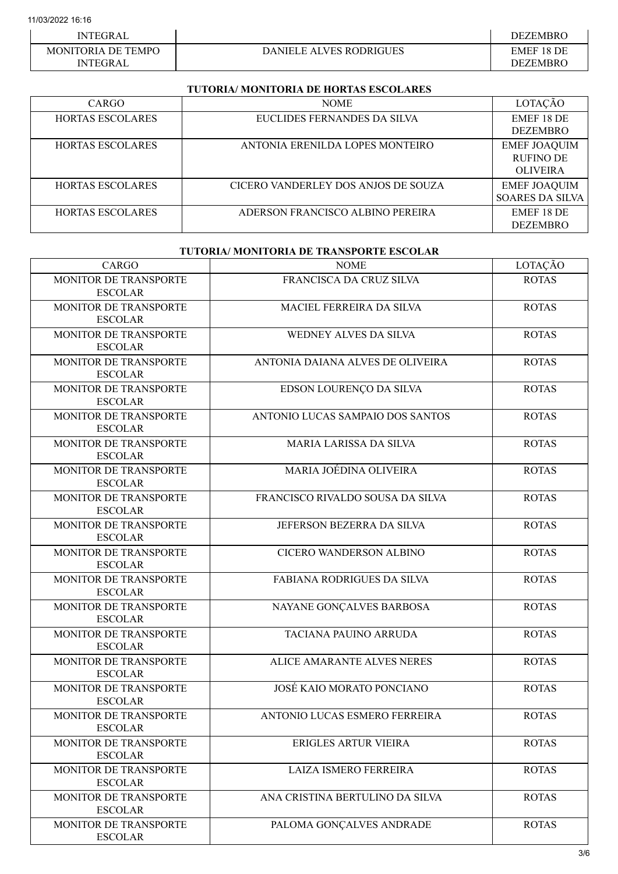| <b>INTEGRAL</b>                              |                                | DEZEMBRO               |
|----------------------------------------------|--------------------------------|------------------------|
| <b>MONITORIA DE TEMPO</b><br><b>INTEGRAL</b> | <b>DANIELE ALVES RODRIGUES</b> | EMEF 18 DE<br>DEZEMBRO |

## TUTORIA/ MONITORIA DE HORTAS ESCOLARES

| CARGO                   | <b>NOME</b>                         | LOTACÃO                |
|-------------------------|-------------------------------------|------------------------|
| <b>HORTAS ESCOLARES</b> | EUCLIDES FERNANDES DA SILVA         | EMEF 18 DE             |
|                         |                                     | <b>DEZEMBRO</b>        |
| <b>HORTAS ESCOLARES</b> | ANTONIA ERENILDA LOPES MONTEIRO     | <b>EMEF JOAQUIM</b>    |
|                         |                                     | <b>RUFINO DE</b>       |
|                         |                                     | <b>OLIVEIRA</b>        |
| <b>HORTAS ESCOLARES</b> | CICERO VANDERLEY DOS ANJOS DE SOUZA | <b>EMEF JOAQUIM</b>    |
|                         |                                     | <b>SOARES DA SILVA</b> |
| <b>HORTAS ESCOLARES</b> | ADERSON FRANCISCO ALBINO PEREIRA    | EMEF 18 DE             |
|                         |                                     | <b>DEZEMBRO</b>        |

## TUTORIA/ MONITORIA DE TRANSPORTE ESCOLAR

| CARGO                                          | <b>NOME</b>                       | LOTAÇÃO      |
|------------------------------------------------|-----------------------------------|--------------|
| MONITOR DE TRANSPORTE<br><b>ESCOLAR</b>        | FRANCISCA DA CRUZ SILVA           | <b>ROTAS</b> |
| MONITOR DE TRANSPORTE<br><b>ESCOLAR</b>        | MACIEL FERREIRA DA SILVA          | <b>ROTAS</b> |
| MONITOR DE TRANSPORTE<br><b>ESCOLAR</b>        | WEDNEY ALVES DA SILVA             | <b>ROTAS</b> |
| MONITOR DE TRANSPORTE<br><b>ESCOLAR</b>        | ANTONIA DAIANA ALVES DE OLIVEIRA  | <b>ROTAS</b> |
| MONITOR DE TRANSPORTE<br><b>ESCOLAR</b>        | EDSON LOURENÇO DA SILVA           | <b>ROTAS</b> |
| MONITOR DE TRANSPORTE<br><b>ESCOLAR</b>        | ANTONIO LUCAS SAMPAIO DOS SANTOS  | <b>ROTAS</b> |
| MONITOR DE TRANSPORTE<br><b>ESCOLAR</b>        | <b>MARIA LARISSA DA SILVA</b>     | <b>ROTAS</b> |
| MONITOR DE TRANSPORTE<br><b>ESCOLAR</b>        | MARIA JOÉDINA OLIVEIRA            | <b>ROTAS</b> |
| MONITOR DE TRANSPORTE<br><b>ESCOLAR</b>        | FRANCISCO RIVALDO SOUSA DA SILVA  | <b>ROTAS</b> |
| MONITOR DE TRANSPORTE<br><b>ESCOLAR</b>        | JEFERSON BEZERRA DA SILVA         | <b>ROTAS</b> |
| MONITOR DE TRANSPORTE<br><b>ESCOLAR</b>        | CICERO WANDERSON ALBINO           | <b>ROTAS</b> |
| MONITOR DE TRANSPORTE<br><b>ESCOLAR</b>        | FABIANA RODRIGUES DA SILVA        | <b>ROTAS</b> |
| MONITOR DE TRANSPORTE<br><b>ESCOLAR</b>        | NAYANE GONÇALVES BARBOSA          | <b>ROTAS</b> |
| MONITOR DE TRANSPORTE<br><b>ESCOLAR</b>        | TACIANA PAUINO ARRUDA             | <b>ROTAS</b> |
| MONITOR DE TRANSPORTE<br><b>ESCOLAR</b>        | <b>ALICE AMARANTE ALVES NERES</b> | <b>ROTAS</b> |
| MONITOR DE TRANSPORTE<br><b>ESCOLAR</b>        | JOSÉ KAIO MORATO PONCIANO         | <b>ROTAS</b> |
| MONITOR DE TRANSPORTE<br>ESCOLAR               | ANTONIO LUCAS ESMERO FERREIRA     | <b>ROTAS</b> |
| <b>MONITOR DE TRANSPORTE</b><br><b>ESCOLAR</b> | ERIGLES ARTUR VIEIRA              | <b>ROTAS</b> |
| MONITOR DE TRANSPORTE<br><b>ESCOLAR</b>        | LAIZA ISMERO FERREIRA             | <b>ROTAS</b> |
| MONITOR DE TRANSPORTE<br><b>ESCOLAR</b>        | ANA CRISTINA BERTULINO DA SILVA   | <b>ROTAS</b> |
| MONITOR DE TRANSPORTE<br><b>ESCOLAR</b>        | PALOMA GONÇALVES ANDRADE          | <b>ROTAS</b> |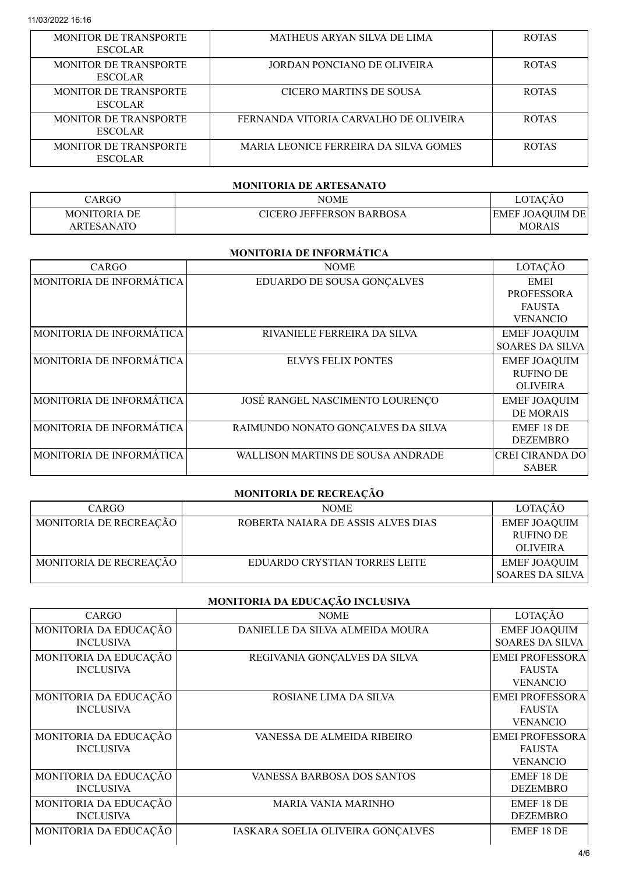| <b>MONITOR DE TRANSPORTE</b><br><b>ESCOLAR</b> | MATHEUS ARYAN SILVA DE LIMA           | <b>ROTAS</b> |
|------------------------------------------------|---------------------------------------|--------------|
| <b>MONITOR DE TRANSPORTE</b><br><b>ESCOLAR</b> | JORDAN PONCIANO DE OLIVEIRA           | <b>ROTAS</b> |
| <b>MONITOR DE TRANSPORTE</b><br><b>ESCOLAR</b> | CICERO MARTINS DE SOUSA               | <b>ROTAS</b> |
| <b>MONITOR DE TRANSPORTE</b><br><b>ESCOLAR</b> | FERNANDA VITORIA CARVALHO DE OLIVEIRA | <b>ROTAS</b> |
| <b>MONITOR DE TRANSPORTE</b><br><b>ESCOLAR</b> | MARIA LEONICE FERREIRA DA SILVA GOMES | <b>ROTAS</b> |

#### MONITORIA DE ARTESANATO

| CARGO .             | NOME                     | LOTACĂO                 |
|---------------------|--------------------------|-------------------------|
| <b>MONITORIA DE</b> | CICERO JEFFERSON BARBOSA | <b>EMEF JOAQUIM DEI</b> |
| ARTESANATO          |                          | <b>MORAIS</b>           |

#### MONITORIA DE INFORMÁTICA

| CARGO                    | <b>NOME</b>                              | LOTAÇÃO                                                              |
|--------------------------|------------------------------------------|----------------------------------------------------------------------|
| MONITORIA DE INFORMÁTICA | EDUARDO DE SOUSA GONÇALVES               | <b>EMEI</b><br><b>PROFESSORA</b><br><b>FAUSTA</b><br><b>VENANCIO</b> |
| MONITORIA DE INFORMÁTICA | RIVANIELE FERREIRA DA SILVA              | <b>EMEF JOAQUIM</b><br><b>SOARES DA SILVA</b>                        |
| MONITORIA DE INFORMÁTICA | <b>ELVYS FELIX PONTES</b>                | <b>EMEF JOAQUIM</b><br><b>RUFINO DE</b><br><b>OLIVEIRA</b>           |
| MONITORIA DE INFORMÁTICA | JOSÉ RANGEL NASCIMENTO LOURENÇO          | <b>EMEF JOAQUIM</b><br><b>DE MORAIS</b>                              |
| MONITORIA DE INFORMÁTICA | RAIMUNDO NONATO GONÇALVES DA SILVA       | EMEF 18 DE<br><b>DEZEMBRO</b>                                        |
| MONITORIA DE INFORMÁTICA | <b>WALLISON MARTINS DE SOUSA ANDRADE</b> | <b>CREI CIRANDA DO</b><br><b>SABER</b>                               |

## MONITORIA DE RECREAÇÃO

| CARGO                  | <b>NOME</b>                        | LOTAÇÃO                                                    |
|------------------------|------------------------------------|------------------------------------------------------------|
| MONITORIA DE RECREAÇÃO | ROBERTA NAIARA DE ASSIS ALVES DIAS | <b>EMEF JOAQUIM</b><br><b>RUFINO DE</b><br><b>OLIVEIRA</b> |
| MONITORIA DE RECREAÇÃO | EDUARDO CRYSTIAN TORRES LEITE      | <b>EMEF JOAQUIM</b><br><b>SOARES DA SILVA</b>              |

# MONITORIA DA EDUCAÇÃO INCLUSIVA

| CARGO                 | <b>NOME</b>                       | LOTAÇÃO                |
|-----------------------|-----------------------------------|------------------------|
| MONITORIA DA EDUCAÇÃO | DANIELLE DA SILVA ALMEIDA MOURA   | <b>EMEF JOAQUIM</b>    |
| <b>INCLUSIVA</b>      |                                   | <b>SOARES DA SILVA</b> |
| MONITORIA DA EDUCAÇÃO | REGIVANIA GONÇALVES DA SILVA      | <b>EMEI PROFESSORA</b> |
| <b>INCLUSIVA</b>      |                                   | <b>FAUSTA</b>          |
|                       |                                   | <b>VENANCIO</b>        |
| MONITORIA DA EDUCAÇÃO | ROSIANE LIMA DA SILVA             | <b>EMEI PROFESSORA</b> |
| <b>INCLUSIVA</b>      |                                   | <b>FAUSTA</b>          |
|                       |                                   | <b>VENANCIO</b>        |
| MONITORIA DA EDUCAÇÃO | VANESSA DE ALMEIDA RIBEIRO        | <b>EMEI PROFESSORA</b> |
| <b>INCLUSIVA</b>      |                                   | <b>FAUSTA</b>          |
|                       |                                   | <b>VENANCIO</b>        |
| MONITORIA DA EDUCAÇÃO | VANESSA BARBOSA DOS SANTOS        | EMEF 18 DE             |
| <b>INCLUSIVA</b>      |                                   | <b>DEZEMBRO</b>        |
| MONITORIA DA EDUCAÇÃO | <b>MARIA VANIA MARINHO</b>        | EMEF 18 DE             |
| <b>INCLUSIVA</b>      |                                   | <b>DEZEMBRO</b>        |
| MONITORIA DA EDUCAÇÃO | IASKARA SOELIA OLIVEIRA GONÇALVES | EMEF 18 DE             |
|                       |                                   |                        |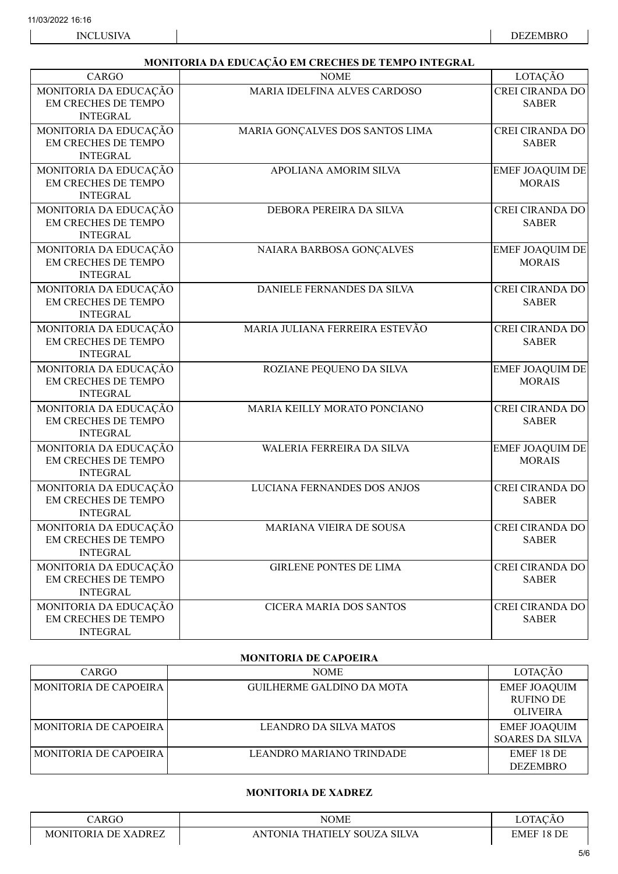### MONITORIA DA EDUCAÇÃO EM CRECHES DE TEMPO INTEGRAL

| CARGO                                                                  | <b>NOME</b>                     | LOTAÇÃO                                 |
|------------------------------------------------------------------------|---------------------------------|-----------------------------------------|
| MONITORIA DA EDUCAÇÃO<br>EM CRECHES DE TEMPO<br><b>INTEGRAL</b>        | MARIA IDELFINA ALVES CARDOSO    | <b>CREI CIRANDA DO</b><br><b>SABER</b>  |
| MONITORIA DA EDUCAÇÃO<br>EM CRECHES DE TEMPO<br><b>INTEGRAL</b>        | MARIA GONÇALVES DOS SANTOS LIMA | <b>CREI CIRANDA DO</b><br><b>SABER</b>  |
| MONITORIA DA EDUCAÇÃO<br><b>EM CRECHES DE TEMPO</b><br><b>INTEGRAL</b> | APOLIANA AMORIM SILVA           | <b>EMEF JOAQUIM DE</b><br><b>MORAIS</b> |
| MONITORIA DA EDUCAÇÃO<br><b>EM CRECHES DE TEMPO</b><br><b>INTEGRAL</b> | DEBORA PEREIRA DA SILVA         | <b>CREI CIRANDA DO</b><br><b>SABER</b>  |
| MONITORIA DA EDUCAÇÃO<br>EM CRECHES DE TEMPO<br><b>INTEGRAL</b>        | NAIARA BARBOSA GONÇALVES        | <b>EMEF JOAQUIM DE</b><br><b>MORAIS</b> |
| MONITORIA DA EDUCAÇÃO<br>EM CRECHES DE TEMPO<br><b>INTEGRAL</b>        | DANIELE FERNANDES DA SILVA      | <b>CREI CIRANDA DO</b><br><b>SABER</b>  |
| MONITORIA DA EDUCAÇÃO<br>EM CRECHES DE TEMPO<br><b>INTEGRAL</b>        | MARIA JULIANA FERREIRA ESTEVÃO  | <b>CREI CIRANDA DO</b><br><b>SABER</b>  |
| MONITORIA DA EDUCAÇÃO<br>EM CRECHES DE TEMPO<br><b>INTEGRAL</b>        | ROZIANE PEQUENO DA SILVA        | <b>EMEF JOAQUIM DE</b><br><b>MORAIS</b> |
| MONITORIA DA EDUCAÇÃO<br>EM CRECHES DE TEMPO<br><b>INTEGRAL</b>        | MARIA KEILLY MORATO PONCIANO    | <b>CREI CIRANDA DO</b><br><b>SABER</b>  |
| MONITORIA DA EDUCAÇÃO<br>EM CRECHES DE TEMPO<br><b>INTEGRAL</b>        | WALERIA FERREIRA DA SILVA       | <b>EMEF JOAQUIM DE</b><br><b>MORAIS</b> |
| MONITORIA DA EDUCAÇÃO<br><b>EM CRECHES DE TEMPO</b><br><b>INTEGRAL</b> | LUCIANA FERNANDES DOS ANJOS     | <b>CREI CIRANDA DO</b><br><b>SABER</b>  |
| MONITORIA DA EDUCAÇÃO<br>EM CRECHES DE TEMPO<br><b>INTEGRAL</b>        | MARIANA VIEIRA DE SOUSA         | <b>CREI CIRANDA DO</b><br><b>SABER</b>  |
| MONITORIA DA EDUCAÇÃO<br>EM CRECHES DE TEMPO<br><b>INTEGRAL</b>        | <b>GIRLENE PONTES DE LIMA</b>   | <b>CREI CIRANDA DO</b><br><b>SABER</b>  |
| MONITORIA DA EDUCAÇÃO<br>EM CRECHES DE TEMPO<br><b>INTEGRAL</b>        | <b>CICERA MARIA DOS SANTOS</b>  | <b>CREI CIRANDA DO</b><br><b>SABER</b>  |

#### MONITORIA DE CAPOEIRA

| CARGO                        | <b>NOME</b>                      | LOTAÇÃO                                                    |
|------------------------------|----------------------------------|------------------------------------------------------------|
| <b>MONITORIA DE CAPOEIRA</b> | <b>GUILHERME GALDINO DA MOTA</b> | <b>EMEF JOAQUIM</b><br><b>RUFINO DE</b><br><b>OLIVEIRA</b> |
| <b>MONITORIA DE CAPOEIRA</b> | <b>LEANDRO DA SILVA MATOS</b>    | <b>EMEF JOAQUIM</b><br><b>SOARES DA SILVA</b>              |
| <b>MONITORIA DE CAPOEIRA</b> | LEANDRO MARIANO TRINDADE         | EMEF 18 DE<br><b>DEZEMBRO</b>                              |

#### MONITORIA DE XADREZ

| ARGO                             | NOME                                                   | $\cap$<br>$\sim$ $\sim$<br>A |
|----------------------------------|--------------------------------------------------------|------------------------------|
| DE.<br>. XADREZ<br>TORIA<br>MONI | <b>SILVA</b><br>SOUZ.<br>، HATIELY<br>7A<br>AΝ<br>INIA | DF<br>181.<br>EMEF           |